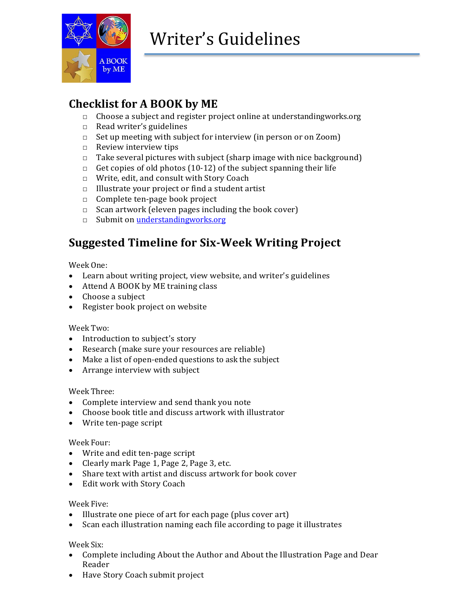

## **Checklist for A BOOK by ME**

- □ Choose a subject and register project online at understandingworks.org
- □ Read writer's guidelines
- □ Set up meeting with subject for interview (in person or on Zoom)
- □ Review interview tips
- $\Box$  Take several pictures with subject (sharp image with nice background)
- $\Box$  Get copies of old photos (10-12) of the subject spanning their life
- □ Write, edit, and consult with Story Coach
- □ Illustrate your project or find a student artist
- □ Complete ten-page book project
- $\Box$  Scan artwork (eleven pages including the book cover)
- □ Submit on <understandingworks.org>

## **Suggested Timeline for Six-Week Writing Project**

Week One:

- Learn about writing project, view website, and writer's guidelines
- Attend A BOOK by ME training class
- Choose a subject
- Register book project on website

#### Week Two:

- Introduction to subject's story
- Research (make sure your resources are reliable)
- Make a list of open-ended questions to ask the subject
- Arrange interview with subject

#### Week Three:

- Complete interview and send thank you note
- Choose book title and discuss artwork with illustrator
- Write ten-page script

#### Week Four:

- Write and edit ten-page script
- Clearly mark Page 1, Page 2, Page 3, etc.
- Share text with artist and discuss artwork for book cover
- Edit work with Story Coach

#### Week Five:

- Illustrate one piece of art for each page (plus cover art)
- Scan each illustration naming each file according to page it illustrates

#### Week Six:

- Complete including About the Author and About the Illustration Page and Dear Reader
- Have Story Coach submit project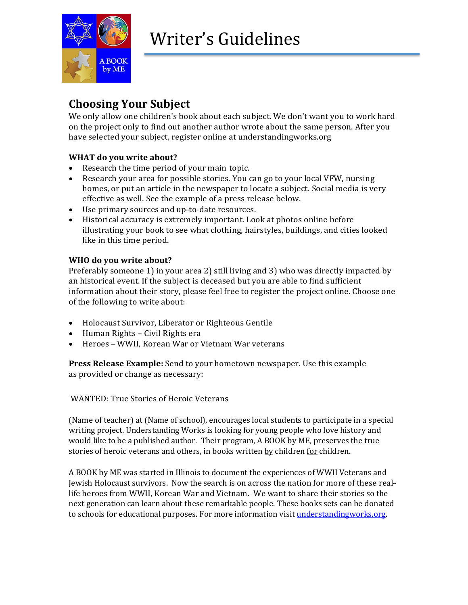

### **Choosing Your Subject**

We only allow one children's book about each subject. We don't want you to work hard on the project only to find out another author wrote about the same person. After you have selected your subject, register online at understandingworks.org

### **WHAT do you write about?**

- Research the time period of your main topic.
- Research your area for possible stories. You can go to your local VFW, nursing homes, or put an article in the newspaper to locate a subject. Social media is very effective as well. See the example of a press release below.
- Use primary sources and up-to-date resources.
- Historical accuracy is extremely important. Look at photos online before illustrating your book to see what clothing, hairstyles, buildings, and cities looked like in this time period.

#### **WHO do you write about?**

Preferably someone 1) in your area 2) still living and 3) who was directly impacted by an historical event. If the subject is deceased but you are able to find sufficient information about their story, please feel free to register the project online. Choose one of the following to write about:

- Holocaust Survivor, Liberator or Righteous Gentile
- Human Rights Civil Rights era
- Heroes WWII, Korean War or Vietnam War veterans

**Press Release Example:** Send to your hometown newspaper. Use this example as provided or change as necessary:

#### WANTED: True Stories of Heroic Veterans

(Name of teacher) at (Name of school), encourages local students to participate in a special writing project. Understanding Works is looking for young people who love history and would like to be a published author. Their program, A BOOK by ME, preserves the true stories of heroic veterans and others, in books written by children for children.

A BOOK by ME was started in Illinois to document the experiences of WWII Veterans and Jewish Holocaust survivors. Now the search is on across the nation for more of these reallife heroes from WWII, Korean War and Vietnam. We want to share their stories so the next generation can learn about these remarkable people. These books sets can be donated to schools for educational purposes. For more information visi[t understandingworks.org.](file:///C:/Users/jeani/Downloads/understandingworks.org)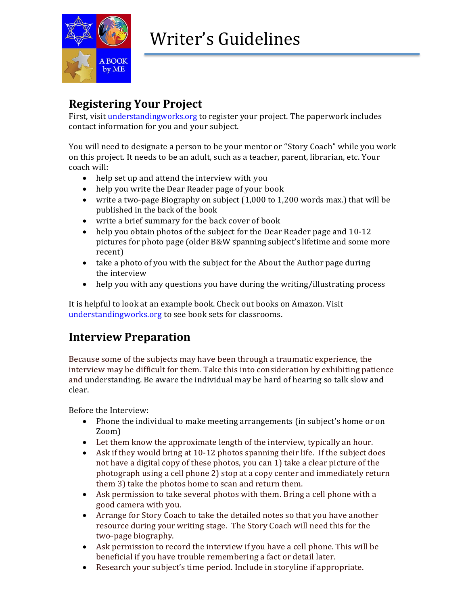

## **Registering Your Project**

First, visit <understandingworks.org> to register your project. The paperwork includes contact information for you and your subject.

You will need to designate a person to be your mentor or "Story Coach" while you work on this project. It needs to be an adult, such as a teacher, parent, librarian, etc. Your coach will:

- help set up and attend the interview with you
- help you write the Dear Reader page of your book
- write a two-page Biography on subject  $(1,000 \text{ to } 1,200 \text{ words max.})$  that will be published in the back of the book
- write a brief summary for the back cover of book
- help you obtain photos of the subject for the Dear Reader page and 10-12 pictures for photo page (older B&W spanning subject's lifetime and some more recent)
- take a photo of you with the subject for the About the Author page during the interview
- help you with any questions you have during the writing/illustrating process

It is helpful to look at an example book. Check out books on Amazon. Visit [understandingworks.org](file:///C:/Users/jeani/Downloads/understandingworks.org) to see book sets for classrooms.

### **Interview Preparation**

Because some of the subjects may have been through a traumatic experience, the interview may be difficult for them. Take this into consideration by exhibiting patience and understanding. Be aware the individual may be hard of hearing so talk slow and clear.

Before the Interview:

- Phone the individual to make meeting arrangements (in subject's home or on Zoom)
- Let them know the approximate length of the interview, typically an hour.
- Ask if they would bring at 10-12 photos spanning their life. If the subject does not have a digital copy of these photos, you can 1) take a clear picture of the photograph using a cell phone 2) stop at a copy center and immediately return them 3) take the photos home to scan and return them.
- Ask permission to take several photos with them. Bring a cell phone with a good camera with you.
- Arrange for Story Coach to take the detailed notes so that you have another resource during your writing stage. The Story Coach will need this for the two-page biography.
- Ask permission to record the interview if you have a cell phone. This will be beneficial if you have trouble remembering a fact or detail later.
- Research your subject's time period. Include in storyline if appropriate.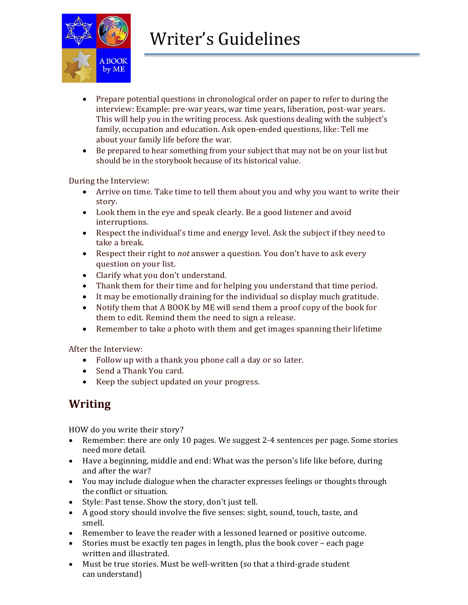

- Prepare potential questions in chronological order on paper to refer to during the interview: Example: pre-war years, war time years, liberation, post-war years. This will help you in the writing process. Ask questions dealing with the subject's family, occupation and education. Ask open-ended questions, like: Tell me about your family life before the war.
- Be prepared to hear something from your subject that may not be on your list but should be in the storybook because of its historical value.

During the Interview:

- Arrive on time. Take time to tell them about you and why you want to write their story.
- Look them in the eye and speak clearly. Be a good listener and avoid interruptions.
- Respect the individual's time and energy level. Ask the subject if they need to take a break.
- Respect their right to *not* answer a question. You don't have to ask every question on your list.
- Clarify what you don't understand.
- Thank them for their time and for helping you understand that time period.
- It may be emotionally draining for the individual so display much gratitude.
- Notify them that A BOOK by ME will send them a proof copy of the book for them to edit. Remind them the need to sign a release.
- Remember to take a photo with them and get images spanning their lifetime

After the Interview:

- Follow up with a thank you phone call a day or so later.
- Send a Thank You card.
- Keep the subject updated on your progress.

## **Writing**

HOW do you write their story?

- Remember: there are only 10 pages. We suggest 2–4 sentences per page. Some stories need more detail.
- Have a beginning, middle and end: What was the person's life like before, during and after the war?
- You may include dialogue when the character expresses feelings or thoughts through the conflict or situation.
- Style: Past tense. Show the story, don't just tell.
- A good story should involve the five senses: sight, sound, touch, taste, and smell.
- Remember to leave the reader with a lessoned learned or positive outcome.
- Stories must be exactly ten pages in length, plus the book cover each page written and illustrated.
- Must be true stories. Must be well-written (so that a third-grade student can understand)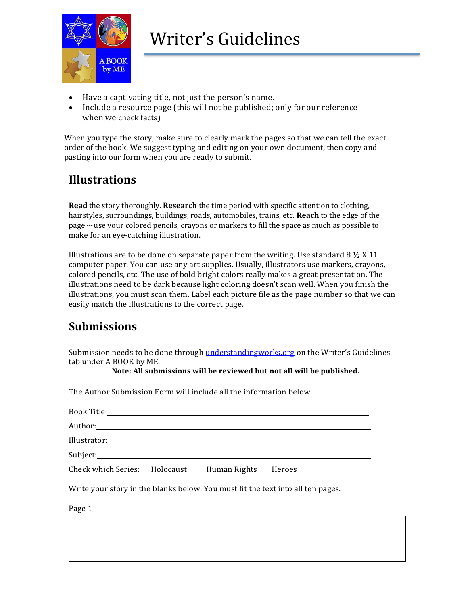

- Have a captivating title, not just the person's name.
- Include a resource page (this will not be published; only for our reference when we check facts)

When you type the story, make sure to clearly mark the pages so that we can tell the exact order of the book. We suggest typing and editing on your own document, then copy and pasting into our form when you are ready to submit.

### **Illustrations**

**Read** the story thoroughly. **Research** the time period with specific attention to clothing, hairstyles, surroundings, buildings, roads, automobiles, trains, etc. **Reach** to the edge of the page --- use your colored pencils, crayons or markers to fill the space as much as possible to make for an eye-catching illustration.

Illustrations are to be done on separate paper from the writing. Use standard 8  $\frac{1}{2}$  X 11 computer paper. You can use any art supplies. Usually, illustrators use markers, crayons, colored pencils, etc. The use of bold bright colors really makes a great presentation. The illustrations need to be dark because light coloring doesn't scan well. When you finish the illustrations, you must scan them. Label each picture file as the page number so that we can easily match the illustrations to the correct page.

## **Submissions**

Submission needs to be done through [understandingworks.org](file:///C:/Users/jeani/Downloads/understandingworks.org) on the Writer's Guidelines tab under A BOOK by ME.

**Note: All submissions will be reviewed but not all will be published.**

The Author Submission Form will include all the information below.

| Illustrator: Note also a series and the series of the series of the series of the series of the series of the series of the series of the series of the series of the series of the series of the series of the series of the |  |        |
|-------------------------------------------------------------------------------------------------------------------------------------------------------------------------------------------------------------------------------|--|--------|
|                                                                                                                                                                                                                               |  |        |
| Check which Series: Holocaust Human Rights                                                                                                                                                                                    |  | Heroes |

Write your story in the blanks below. You must fit the text into all ten pages.

Page 1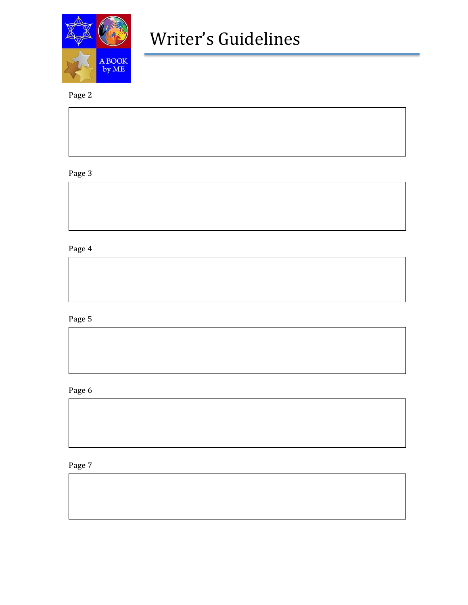

### Page 2

### Page 3

### Page 4

### Page 5

#### Page 6

### Page 7